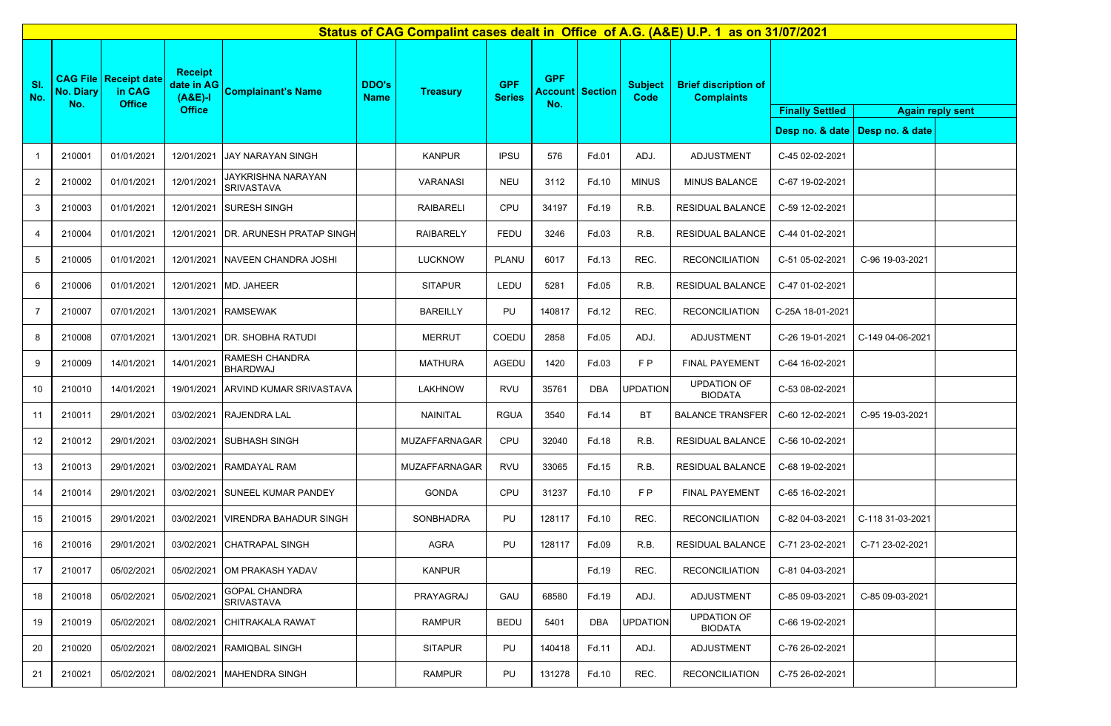|                | Status of CAG Compalint cases dealt in Office of A.G. (A&E) U.P. 1 as on 31/07/2021 |                                                           |                                                            |                                                |                             |                      |                             |                                             |            |                        |                                                  |                        |                                   |                         |
|----------------|-------------------------------------------------------------------------------------|-----------------------------------------------------------|------------------------------------------------------------|------------------------------------------------|-----------------------------|----------------------|-----------------------------|---------------------------------------------|------------|------------------------|--------------------------------------------------|------------------------|-----------------------------------|-------------------------|
| SI.<br>No.     | <b>No. Diary</b><br>No.                                                             | <b>CAG File   Receipt date</b><br>in CAG<br><b>Office</b> | <b>Receipt</b><br>date in AG<br>$(A&E)-I$<br><b>Office</b> | <b>Complainant's Name</b>                      | <b>DDO's</b><br><b>Name</b> | <b>Treasury</b>      | <b>GPF</b><br><b>Series</b> | <b>GPF</b><br><b>Account Section</b><br>No. |            | <b>Subject</b><br>Code | <b>Brief discription of</b><br><b>Complaints</b> | <b>Finally Settled</b> |                                   | <b>Again reply sent</b> |
|                |                                                                                     |                                                           |                                                            |                                                |                             |                      |                             |                                             |            |                        |                                                  |                        | Desp no. & date   Desp no. & date |                         |
| -1             | 210001                                                                              | 01/01/2021                                                | 12/01/2021                                                 | JAY NARAYAN SINGH                              |                             | <b>KANPUR</b>        | <b>IPSU</b>                 | 576                                         | Fd.01      | ADJ.                   | ADJUSTMENT                                       | C-45 02-02-2021        |                                   |                         |
| $\overline{2}$ | 210002                                                                              | 01/01/2021                                                | 12/01/2021                                                 | <b>JAYKRISHNA NARAYAN</b><br><b>SRIVASTAVA</b> |                             | <b>VARANASI</b>      | <b>NEU</b>                  | 3112                                        | Fd.10      | <b>MINUS</b>           | <b>MINUS BALANCE</b>                             | C-67 19-02-2021        |                                   |                         |
| 3              | 210003                                                                              | 01/01/2021                                                | 12/01/2021                                                 | <b>SURESH SINGH</b>                            |                             | RAIBARELI            | CPU                         | 34197                                       | Fd.19      | R.B.                   | <b>RESIDUAL BALANCE</b>                          | C-59 12-02-2021        |                                   |                         |
| 4              | 210004                                                                              | 01/01/2021                                                | 12/01/2021                                                 | DR. ARUNESH PRATAP SINGH                       |                             | <b>RAIBARELY</b>     | FEDU                        | 3246                                        | Fd.03      | R.B.                   | <b>RESIDUAL BALANCE</b>                          | C-44 01-02-2021        |                                   |                         |
| 5              | 210005                                                                              | 01/01/2021                                                | 12/01/2021                                                 | NAVEEN CHANDRA JOSHI                           |                             | <b>LUCKNOW</b>       | PLANU                       | 6017                                        | Fd.13      | REC.                   | <b>RECONCILIATION</b>                            | C-51 05-02-2021        | C-96 19-03-2021                   |                         |
| 6              | 210006                                                                              | 01/01/2021                                                | 12/01/2021                                                 | MD. JAHEER                                     |                             | <b>SITAPUR</b>       | LEDU                        | 5281                                        | Fd.05      | R.B.                   | RESIDUAL BALANCE                                 | C-47 01-02-2021        |                                   |                         |
| $\overline{7}$ | 210007                                                                              | 07/01/2021                                                | 13/01/2021                                                 | <b>RAMSEWAK</b>                                |                             | <b>BAREILLY</b>      | PU                          | 140817                                      | Fd.12      | REC.                   | <b>RECONCILIATION</b>                            | C-25A 18-01-2021       |                                   |                         |
| 8              | 210008                                                                              | 07/01/2021                                                | 13/01/2021                                                 | DR. SHOBHA RATUDI                              |                             | <b>MERRUT</b>        | COEDU                       | 2858                                        | Fd.05      | ADJ.                   | <b>ADJUSTMENT</b>                                | C-26 19-01-2021        | C-149 04-06-2021                  |                         |
| 9              | 210009                                                                              | 14/01/2021                                                | 14/01/2021                                                 | RAMESH CHANDRA<br><b>BHARDWAJ</b>              |                             | <b>MATHURA</b>       | AGEDU                       | 1420                                        | Fd.03      | F P                    | <b>FINAL PAYEMENT</b>                            | C-64 16-02-2021        |                                   |                         |
| 10             | 210010                                                                              | 14/01/2021                                                | 19/01/2021                                                 | ARVIND KUMAR SRIVASTAVA                        |                             | <b>LAKHNOW</b>       | <b>RVU</b>                  | 35761                                       | <b>DBA</b> | <b>UPDATION</b>        | <b>UPDATION OF</b><br><b>BIODATA</b>             | C-53 08-02-2021        |                                   |                         |
| 11             | 210011                                                                              | 29/01/2021                                                | 03/02/2021                                                 | <b>RAJENDRA LAL</b>                            |                             | NAINITAL             | <b>RGUA</b>                 | 3540                                        | Fd.14      | BT                     | <b>BALANCE TRANSFER</b>                          | C-60 12-02-2021        | C-95 19-03-2021                   |                         |
| 12             | 210012                                                                              | 29/01/2021                                                | 03/02/2021                                                 | <b>SUBHASH SINGH</b>                           |                             | MUZAFFARNAGAR        | CPU                         | 32040                                       | Fd.18      | R.B.                   | <b>RESIDUAL BALANCE</b>                          | C-56 10-02-2021        |                                   |                         |
| 13             | 210013                                                                              | 29/01/2021                                                | 03/02/2021                                                 | RAMDAYAL RAM                                   |                             | <b>MUZAFFARNAGAR</b> | <b>RVU</b>                  | 33065                                       | Fd.15      | R.B.                   | <b>RESIDUAL BALANCE</b>                          | C-68 19-02-2021        |                                   |                         |
| 14             | 210014                                                                              | 29/01/2021                                                | 03/02/2021                                                 | SUNEEL KUMAR PANDEY                            |                             | <b>GONDA</b>         | CPU                         | 31237                                       | Fd.10      | F P                    | FINAL PAYEMENT                                   | C-65 16-02-2021        |                                   |                         |
| 15             | 210015                                                                              | 29/01/2021                                                | 03/02/2021                                                 | <b>VIRENDRA BAHADUR SINGH</b>                  |                             | SONBHADRA            | PU                          | 128117                                      | Fd.10      | REC.                   | <b>RECONCILIATION</b>                            | C-82 04-03-2021        | C-118 31-03-2021                  |                         |
| 16             | 210016                                                                              | 29/01/2021                                                | 03/02/2021                                                 | <b>CHATRAPAL SINGH</b>                         |                             | AGRA                 | PU                          | 128117                                      | Fd.09      | R.B.                   | <b>RESIDUAL BALANCE</b>                          | C-71 23-02-2021        | C-71 23-02-2021                   |                         |
| 17             | 210017                                                                              | 05/02/2021                                                | 05/02/2021                                                 | OM PRAKASH YADAV                               |                             | <b>KANPUR</b>        |                             |                                             | Fd.19      | REC.                   | <b>RECONCILIATION</b>                            | C-81 04-03-2021        |                                   |                         |
| 18             | 210018                                                                              | 05/02/2021                                                | 05/02/2021                                                 | <b>GOPAL CHANDRA</b><br><b>SRIVASTAVA</b>      |                             | PRAYAGRAJ            | GAU                         | 68580                                       | Fd.19      | ADJ.                   | <b>ADJUSTMENT</b>                                | C-85 09-03-2021        | C-85 09-03-2021                   |                         |
| 19             | 210019                                                                              | 05/02/2021                                                | 08/02/2021                                                 | CHITRAKALA RAWAT                               |                             | <b>RAMPUR</b>        | <b>BEDU</b>                 | 5401                                        | <b>DBA</b> | <b>UPDATION</b>        | <b>UPDATION OF</b><br><b>BIODATA</b>             | C-66 19-02-2021        |                                   |                         |
| 20             | 210020                                                                              | 05/02/2021                                                | 08/02/2021                                                 | RAMIQBAL SINGH                                 |                             | <b>SITAPUR</b>       | PU                          | 140418                                      | Fd.11      | ADJ.                   | ADJUSTMENT                                       | C-76 26-02-2021        |                                   |                         |
| 21             | 210021                                                                              | 05/02/2021                                                | 08/02/2021                                                 | <b>MAHENDRA SINGH</b>                          |                             | <b>RAMPUR</b>        | PU                          | 131278                                      | Fd.10      | REC.                   | <b>RECONCILIATION</b>                            | C-75 26-02-2021        |                                   |                         |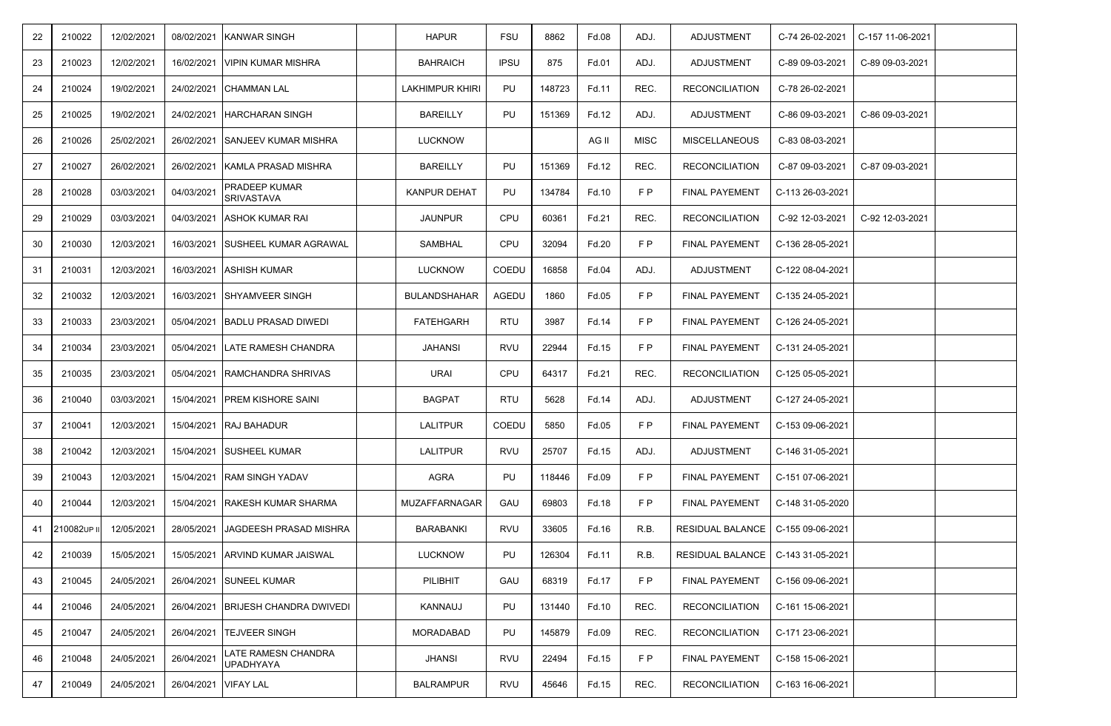| 22 | 210022         | 12/02/2021 | 08/02/2021 | KANWAR SINGH                       | <b>HAPUR</b>         | FSU         | 8862   | Fd.08 | ADJ. | <b>ADJUSTMENT</b>                   | C-74 26-02-2021  | C-157 11-06-2021 |  |
|----|----------------|------------|------------|------------------------------------|----------------------|-------------|--------|-------|------|-------------------------------------|------------------|------------------|--|
| 23 | 210023         | 12/02/2021 | 16/02/2021 | <b>VIPIN KUMAR MISHRA</b>          | <b>BAHRAICH</b>      | <b>IPSU</b> | 875    | Fd.01 | ADJ. | ADJUSTMENT                          | C-89 09-03-2021  | C-89 09-03-2021  |  |
| 24 | 210024         | 19/02/2021 | 24/02/2021 | <b>CHAMMAN LAL</b>                 | LAKHIMPUR KHIRI      | PU          | 148723 | Fd.11 | REC. | <b>RECONCILIATION</b>               | C-78 26-02-2021  |                  |  |
| 25 | 210025         | 19/02/2021 | 24/02/2021 | HARCHARAN SINGH                    | <b>BAREILLY</b>      | PU          | 151369 | Fd.12 | ADJ. | ADJUSTMENT                          | C-86 09-03-2021  | C-86 09-03-2021  |  |
| 26 | 210026         | 25/02/2021 | 26/02/2021 | <b>SANJEEV KUMAR MISHRA</b>        | <b>LUCKNOW</b>       |             |        | AG II | MISC | <b>MISCELLANEOUS</b>                | C-83 08-03-2021  |                  |  |
| 27 | 210027         | 26/02/2021 | 26/02/2021 | KAMLA PRASAD MISHRA                | <b>BAREILLY</b>      | PU          | 151369 | Fd.12 | REC. | <b>RECONCILIATION</b>               | C-87 09-03-2021  | C-87 09-03-2021  |  |
| 28 | 210028         | 03/03/2021 | 04/03/2021 | PRADEEP KUMAR<br><b>SRIVASTAVA</b> | <b>KANPUR DEHAT</b>  | PU          | 134784 | Fd.10 | F P  | <b>FINAL PAYEMENT</b>               | C-113 26-03-2021 |                  |  |
| 29 | 210029         | 03/03/2021 | 04/03/2021 | ASHOK KUMAR RAI                    | <b>JAUNPUR</b>       | <b>CPU</b>  | 60361  | Fd.21 | REC. | <b>RECONCILIATION</b>               | C-92 12-03-2021  | C-92 12-03-2021  |  |
| 30 | 210030         | 12/03/2021 | 16/03/2021 | <b>SUSHEEL KUMAR AGRAWAL</b>       | SAMBHAL              | <b>CPU</b>  | 32094  | Fd.20 | F P  | FINAL PAYEMENT                      | C-136 28-05-2021 |                  |  |
| 31 | 210031         | 12/03/2021 | 16/03/2021 | <b>ASHISH KUMAR</b>                | <b>LUCKNOW</b>       | COEDU       | 16858  | Fd.04 | ADJ. | <b>ADJUSTMENT</b>                   | C-122 08-04-2021 |                  |  |
| 32 | 210032         | 12/03/2021 | 16/03/2021 | SHYAMVEER SINGH                    | <b>BULANDSHAHAR</b>  | AGEDU       | 1860   | Fd.05 | F P  | <b>FINAL PAYEMENT</b>               | C-135 24-05-2021 |                  |  |
| 33 | 210033         | 23/03/2021 | 05/04/2021 | <b>BADLU PRASAD DIWEDI</b>         | <b>FATEHGARH</b>     | <b>RTU</b>  | 3987   | Fd.14 | F P  | <b>FINAL PAYEMENT</b>               | C-126 24-05-2021 |                  |  |
| 34 | 210034         | 23/03/2021 | 05/04/2021 | LATE RAMESH CHANDRA                | JAHANSI              | RVU         | 22944  | Fd.15 | F P  | <b>FINAL PAYEMENT</b>               | C-131 24-05-2021 |                  |  |
| 35 | 210035         | 23/03/2021 | 05/04/2021 | RAMCHANDRA SHRIVAS                 | <b>URAI</b>          | <b>CPU</b>  | 64317  | Fd.21 | REC. | <b>RECONCILIATION</b>               | C-125 05-05-2021 |                  |  |
| 36 | 210040         | 03/03/2021 | 15/04/2021 | PREM KISHORE SAINI                 | <b>BAGPAT</b>        | RTU         | 5628   | Fd.14 | ADJ. | <b>ADJUSTMENT</b>                   | C-127 24-05-2021 |                  |  |
| 37 | 210041         | 12/03/2021 | 15/04/2021 | <b>RAJ BAHADUR</b>                 | <b>LALITPUR</b>      | COEDU       | 5850   | Fd.05 | F P  | <b>FINAL PAYEMENT</b>               | C-153 09-06-2021 |                  |  |
| 38 | 210042         | 12/03/2021 | 15/04/2021 | <b>SUSHEEL KUMAR</b>               | <b>LALITPUR</b>      | RVU         | 25707  | Fd.15 | ADJ. | <b>ADJUSTMENT</b>                   | C-146 31-05-2021 |                  |  |
| 39 | 210043         | 12/03/2021 | 15/04/2021 | RAM SINGH YADAV                    | AGRA                 | PU          | 118446 | Fd.09 | F P  | <b>FINAL PAYEMENT</b>               | C-151 07-06-2021 |                  |  |
| 40 | 210044         | 12/03/2021 | 15/04/2021 | RAKESH KUMAR SHARMA                | <b>MUZAFFARNAGAR</b> | GAU         | 69803  | Fd.18 | F P  | <b>FINAL PAYEMENT</b>               | C-148 31-05-2020 |                  |  |
|    | 41 210082UP II | 12/05/2021 | 28/05/2021 | JAGDEESH PRASAD MISHRA             | BARABANKI            | RVU         | 33605  | Fd.16 | R.B. | RESIDUAL BALANCE                    | C-155 09-06-2021 |                  |  |
| 42 | 210039         | 15/05/2021 |            | 15/05/2021 ARVIND KUMAR JAISWAL    | LUCKNOW              | PU          | 126304 | Fd.11 | R.B. | RESIDUAL BALANCE   C-143 31-05-2021 |                  |                  |  |
| 43 | 210045         | 24/05/2021 | 26/04/2021 | <b>SUNEEL KUMAR</b>                | PILIBHIT             | GAU         | 68319  | Fd.17 | F P  | <b>FINAL PAYEMENT</b>               | C-156 09-06-2021 |                  |  |
| 44 | 210046         | 24/05/2021 | 26/04/2021 | <b>BRIJESH CHANDRA DWIVEDI</b>     | KANNAUJ              | PU          | 131440 | Fd.10 | REC. | <b>RECONCILIATION</b>               | C-161 15-06-2021 |                  |  |
| 45 | 210047         | 24/05/2021 |            | 26/04/2021 TEJVEER SINGH           | MORADABAD            | PU          | 145879 | Fd.09 | REC. | <b>RECONCILIATION</b>               | C-171 23-06-2021 |                  |  |
| 46 | 210048         | 24/05/2021 | 26/04/2021 | LATE RAMESN CHANDRA<br>UPADHYAYA   | JHANSI               | RVU         | 22494  | Fd.15 | F P  | FINAL PAYEMENT                      | C-158 15-06-2021 |                  |  |
| 47 | 210049         | 24/05/2021 | 26/04/2021 | <b>VIFAY LAL</b>                   | <b>BALRAMPUR</b>     | RVU         | 45646  | Fd.15 | REC. | <b>RECONCILIATION</b>               | C-163 16-06-2021 |                  |  |